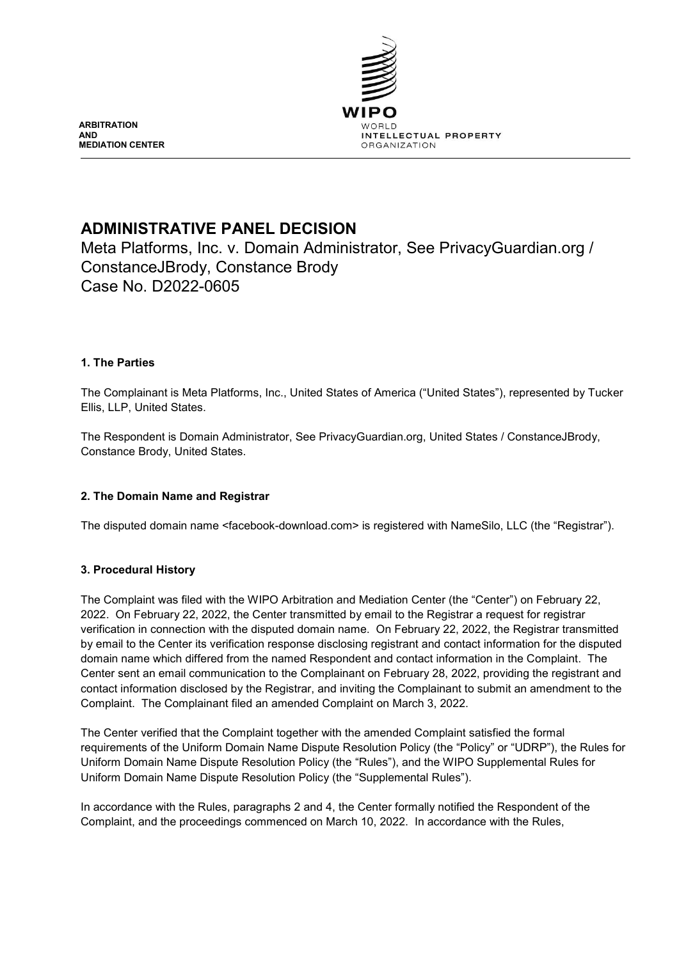

**ARBITRATION AND MEDIATION CENTER**

# **ADMINISTRATIVE PANEL DECISION**

Meta Platforms, Inc. v. Domain Administrator, See PrivacyGuardian.org / ConstanceJBrody, Constance Brody Case No. D2022-0605

# **1. The Parties**

The Complainant is Meta Platforms, Inc., United States of America ("United States"), represented by Tucker Ellis, LLP, United States.

The Respondent is Domain Administrator, See PrivacyGuardian.org, United States / ConstanceJBrody, Constance Brody, United States.

# **2. The Domain Name and Registrar**

The disputed domain name <facebook-download.com> is registered with NameSilo, LLC (the "Registrar").

# **3. Procedural History**

The Complaint was filed with the WIPO Arbitration and Mediation Center (the "Center") on February 22, 2022. On February 22, 2022, the Center transmitted by email to the Registrar a request for registrar verification in connection with the disputed domain name. On February 22, 2022, the Registrar transmitted by email to the Center its verification response disclosing registrant and contact information for the disputed domain name which differed from the named Respondent and contact information in the Complaint. The Center sent an email communication to the Complainant on February 28, 2022, providing the registrant and contact information disclosed by the Registrar, and inviting the Complainant to submit an amendment to the Complaint. The Complainant filed an amended Complaint on March 3, 2022.

The Center verified that the Complaint together with the amended Complaint satisfied the formal requirements of the Uniform Domain Name Dispute Resolution Policy (the "Policy" or "UDRP"), the Rules for Uniform Domain Name Dispute Resolution Policy (the "Rules"), and the WIPO Supplemental Rules for Uniform Domain Name Dispute Resolution Policy (the "Supplemental Rules").

In accordance with the Rules, paragraphs 2 and 4, the Center formally notified the Respondent of the Complaint, and the proceedings commenced on March 10, 2022. In accordance with the Rules,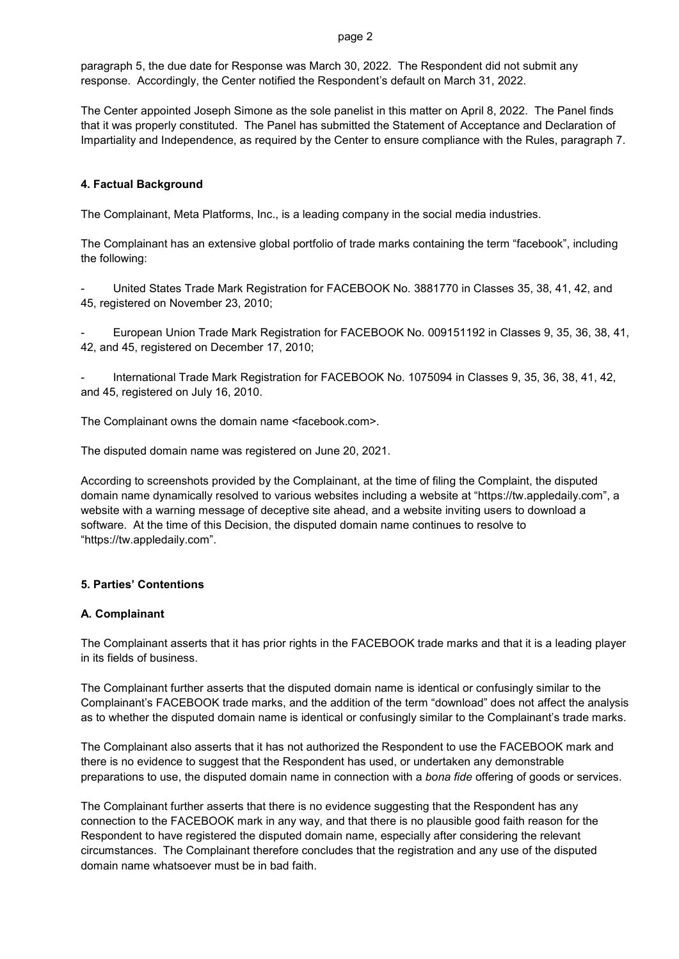#### page 2

paragraph 5, the due date for Response was March 30, 2022. The Respondent did not submit any response. Accordingly, the Center notified the Respondent's default on March 31, 2022.

The Center appointed Joseph Simone as the sole panelist in this matter on April 8, 2022. The Panel finds that it was properly constituted. The Panel has submitted the Statement of Acceptance and Declaration of Impartiality and Independence, as required by the Center to ensure compliance with the Rules, paragraph 7.

## **4. Factual Background**

The Complainant, Meta Platforms, Inc., is a leading company in the social media industries.

The Complainant has an extensive global portfolio of trade marks containing the term "facebook", including the following:

United States Trade Mark Registration for FACEBOOK No. 3881770 in Classes 35, 38, 41, 42, and 45, registered on November 23, 2010;

- European Union Trade Mark Registration for FACEBOOK No. 009151192 in Classes 9, 35, 36, 38, 41, 42, and 45, registered on December 17, 2010;

- International Trade Mark Registration for FACEBOOK No. 1075094 in Classes 9, 35, 36, 38, 41, 42, and 45, registered on July 16, 2010.

The Complainant owns the domain name <facebook.com>.

The disputed domain name was registered on June 20, 2021.

According to screenshots provided by the Complainant, at the time of filing the Complaint, the disputed domain name dynamically resolved to various websites including a website at "https://tw.appledaily.com", a website with a warning message of deceptive site ahead, and a website inviting users to download a software. At the time of this Decision, the disputed domain name continues to resolve to "https://tw.appledaily.com".

#### **5. Parties' Contentions**

#### **A. Complainant**

The Complainant asserts that it has prior rights in the FACEBOOK trade marks and that it is a leading player in its fields of business.

The Complainant further asserts that the disputed domain name is identical or confusingly similar to the Complainant's FACEBOOK trade marks, and the addition of the term "download" does not affect the analysis as to whether the disputed domain name is identical or confusingly similar to the Complainant's trade marks.

The Complainant also asserts that it has not authorized the Respondent to use the FACEBOOK mark and there is no evidence to suggest that the Respondent has used, or undertaken any demonstrable preparations to use, the disputed domain name in connection with a *bona fide* offering of goods or services.

The Complainant further asserts that there is no evidence suggesting that the Respondent has any connection to the FACEBOOK mark in any way, and that there is no plausible good faith reason for the Respondent to have registered the disputed domain name, especially after considering the relevant circumstances. The Complainant therefore concludes that the registration and any use of the disputed domain name whatsoever must be in bad faith.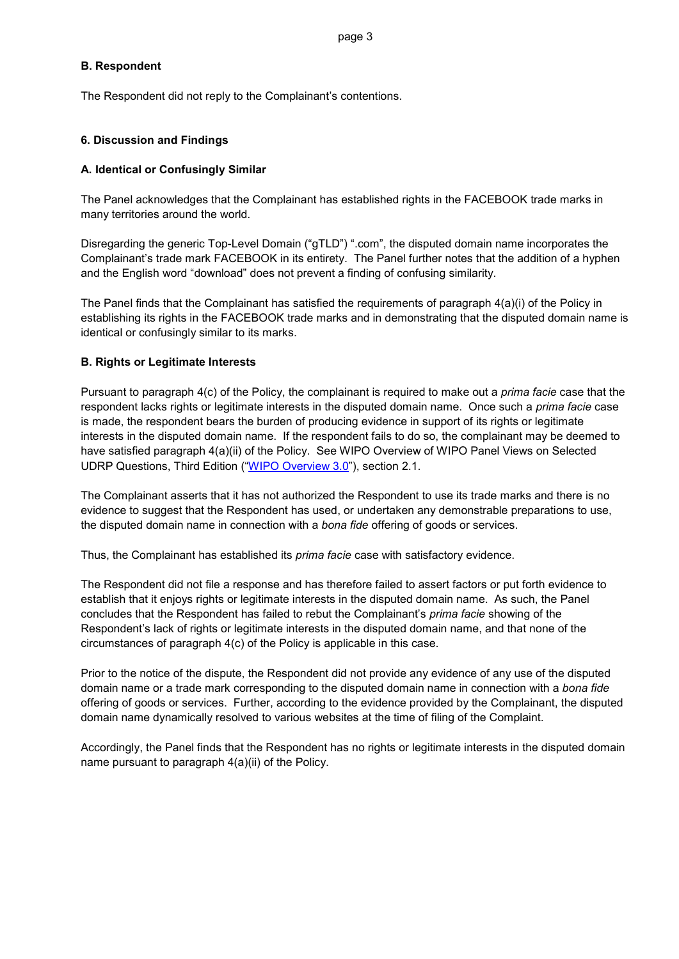#### **B. Respondent**

The Respondent did not reply to the Complainant's contentions.

## **6. Discussion and Findings**

#### **A. Identical or Confusingly Similar**

The Panel acknowledges that the Complainant has established rights in the FACEBOOK trade marks in many territories around the world.

Disregarding the generic Top-Level Domain ("gTLD") ".com", the disputed domain name incorporates the Complainant's trade mark FACEBOOK in its entirety. The Panel further notes that the addition of a hyphen and the English word "download" does not prevent a finding of confusing similarity.

The Panel finds that the Complainant has satisfied the requirements of paragraph 4(a)(i) of the Policy in establishing its rights in the FACEBOOK trade marks and in demonstrating that the disputed domain name is identical or confusingly similar to its marks.

## **B. Rights or Legitimate Interests**

Pursuant to paragraph 4(c) of the Policy, the complainant is required to make out a *prima facie* case that the respondent lacks rights or legitimate interests in the disputed domain name. Once such a *prima facie* case is made, the respondent bears the burden of producing evidence in support of its rights or legitimate interests in the disputed domain name. If the respondent fails to do so, the complainant may be deemed to have satisfied paragraph 4(a)(ii) of the Policy. See WIPO Overview of WIPO Panel Views on Selected UDRP Questions, Third Edition (["WIPO Overview 3.0"](https://www.wipo.int/amc/en/domains/search/overview3.0/)), section 2.1.

The Complainant asserts that it has not authorized the Respondent to use its trade marks and there is no evidence to suggest that the Respondent has used, or undertaken any demonstrable preparations to use, the disputed domain name in connection with a *bona fide* offering of goods or services.

Thus, the Complainant has established its *prima facie* case with satisfactory evidence.

The Respondent did not file a response and has therefore failed to assert factors or put forth evidence to establish that it enjoys rights or legitimate interests in the disputed domain name. As such, the Panel concludes that the Respondent has failed to rebut the Complainant's *prima facie* showing of the Respondent's lack of rights or legitimate interests in the disputed domain name, and that none of the circumstances of paragraph 4(c) of the Policy is applicable in this case.

Prior to the notice of the dispute, the Respondent did not provide any evidence of any use of the disputed domain name or a trade mark corresponding to the disputed domain name in connection with a *bona fide* offering of goods or services. Further, according to the evidence provided by the Complainant, the disputed domain name dynamically resolved to various websites at the time of filing of the Complaint.

Accordingly, the Panel finds that the Respondent has no rights or legitimate interests in the disputed domain name pursuant to paragraph 4(a)(ii) of the Policy.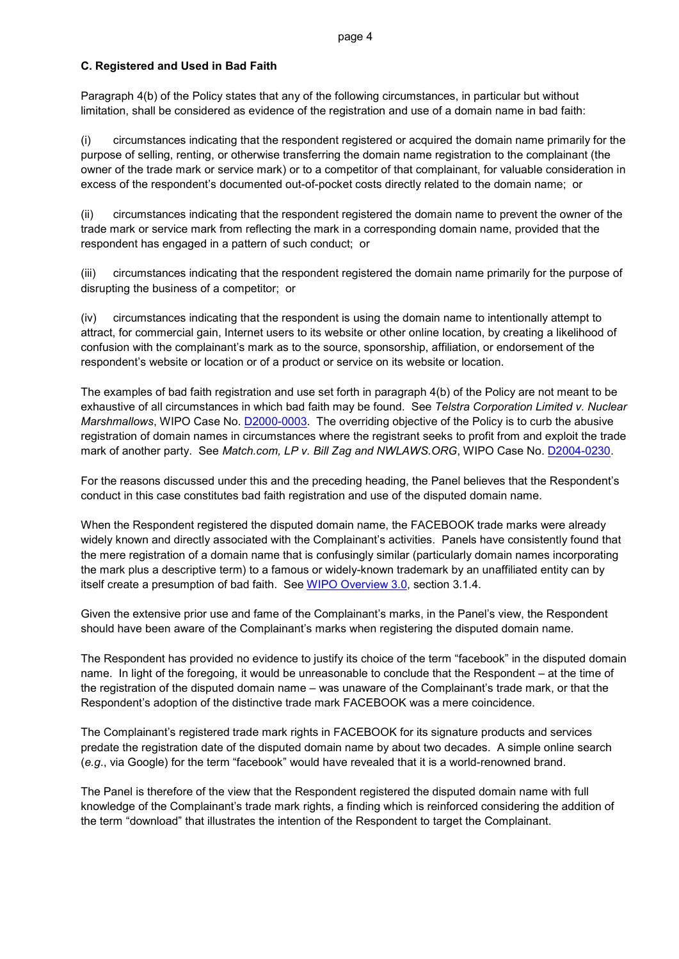#### **C. Registered and Used in Bad Faith**

Paragraph 4(b) of the Policy states that any of the following circumstances, in particular but without limitation, shall be considered as evidence of the registration and use of a domain name in bad faith:

(i) circumstances indicating that the respondent registered or acquired the domain name primarily for the purpose of selling, renting, or otherwise transferring the domain name registration to the complainant (the owner of the trade mark or service mark) or to a competitor of that complainant, for valuable consideration in excess of the respondent's documented out-of-pocket costs directly related to the domain name; or

(ii) circumstances indicating that the respondent registered the domain name to prevent the owner of the trade mark or service mark from reflecting the mark in a corresponding domain name, provided that the respondent has engaged in a pattern of such conduct; or

(iii) circumstances indicating that the respondent registered the domain name primarily for the purpose of disrupting the business of a competitor; or

(iv) circumstances indicating that the respondent is using the domain name to intentionally attempt to attract, for commercial gain, Internet users to its website or other online location, by creating a likelihood of confusion with the complainant's mark as to the source, sponsorship, affiliation, or endorsement of the respondent's website or location or of a product or service on its website or location.

The examples of bad faith registration and use set forth in paragraph 4(b) of the Policy are not meant to be exhaustive of all circumstances in which bad faith may be found. See *Telstra Corporation Limited v. Nuclear Marshmallows*, WIPO Case No. [D2000-0003.](https://www.wipo.int/amc/en/domains/decisions/html/2000/d2000-0003.html) The overriding objective of the Policy is to curb the abusive registration of domain names in circumstances where the registrant seeks to profit from and exploit the trade mark of another party. See *Match.com, LP v. Bill Zag and NWLAWS.ORG*, WIPO Case No. **D2004-0230**.

For the reasons discussed under this and the preceding heading, the Panel believes that the Respondent's conduct in this case constitutes bad faith registration and use of the disputed domain name.

When the Respondent registered the disputed domain name, the FACEBOOK trade marks were already widely known and directly associated with the Complainant's activities. Panels have consistently found that the mere registration of a domain name that is confusingly similar (particularly domain names incorporating the mark plus a descriptive term) to a famous or widely-known trademark by an unaffiliated entity can by itself create a presumption of bad faith. See [WIPO Overview 3.0,](https://www.wipo.int/amc/en/domains/search/overview3.0/) section 3.1.4.

Given the extensive prior use and fame of the Complainant's marks, in the Panel's view, the Respondent should have been aware of the Complainant's marks when registering the disputed domain name.

The Respondent has provided no evidence to justify its choice of the term "facebook" in the disputed domain name. In light of the foregoing, it would be unreasonable to conclude that the Respondent – at the time of the registration of the disputed domain name – was unaware of the Complainant's trade mark, or that the Respondent's adoption of the distinctive trade mark FACEBOOK was a mere coincidence.

The Complainant's registered trade mark rights in FACEBOOK for its signature products and services predate the registration date of the disputed domain name by about two decades. A simple online search (*e.g*., via Google) for the term "facebook" would have revealed that it is a world-renowned brand.

The Panel is therefore of the view that the Respondent registered the disputed domain name with full knowledge of the Complainant's trade mark rights, a finding which is reinforced considering the addition of the term "download" that illustrates the intention of the Respondent to target the Complainant.